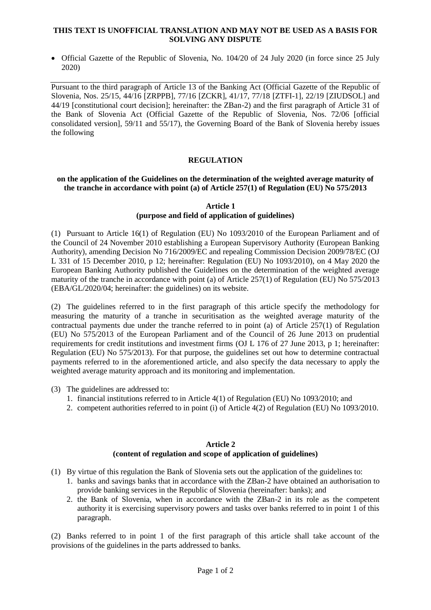#### **THIS TEXT IS UNOFFICIAL TRANSLATION AND MAY NOT BE USED AS A BASIS FOR SOLVING ANY DISPUTE**

• Official Gazette of the Republic of Slovenia, No. 104/20 of 24 July 2020 (in force since 25 July 2020)

Pursuant to the third paragraph of Article 13 of the Banking Act (Official Gazette of the Republic of Slovenia, Nos. 25/15, 44/16 [ZRPPB], 77/16 [ZCKR], 41/17, 77/18 [ZTFI-1], 22/19 [ZIUDSOL] and 44/19 [constitutional court decision]; hereinafter: the ZBan-2) and the first paragraph of Article 31 of the Bank of Slovenia Act (Official Gazette of the Republic of Slovenia, Nos. 72/06 [official consolidated version], 59/11 and 55/17), the Governing Board of the Bank of Slovenia hereby issues the following

## **REGULATION**

### **on the application of the Guidelines on the determination of the weighted average maturity of the tranche in accordance with point (a) of Article 257(1) of Regulation (EU) No 575/2013**

**Article 1**

# **(purpose and field of application of guidelines)**

(1) Pursuant to Article 16(1) of Regulation (EU) No 1093/2010 of the European Parliament and of the Council of 24 November 2010 establishing a European Supervisory Authority (European Banking Authority), amending Decision No 716/2009/EC and repealing Commission Decision 2009/78/EC (OJ L 331 of 15 December 2010, p 12; hereinafter: Regulation (EU) No 1093/2010), on 4 May 2020 the European Banking Authority published the Guidelines on the determination of the weighted average maturity of the tranche in accordance with point (a) of Article 257(1) of Regulation (EU) No 575/2013 (EBA/GL/2020/04; hereinafter: the guidelines) on its website.

(2) The guidelines referred to in the first paragraph of this article specify the methodology for measuring the maturity of a tranche in securitisation as the weighted average maturity of the contractual payments due under the tranche referred to in point (a) of Article 257(1) of Regulation (EU) No 575/2013 of the European Parliament and of the Council of 26 June 2013 on prudential requirements for credit institutions and investment firms (OJ L 176 of 27 June 2013, p 1; hereinafter: Regulation (EU) No 575/2013). For that purpose, the guidelines set out how to determine contractual payments referred to in the aforementioned article, and also specify the data necessary to apply the weighted average maturity approach and its monitoring and implementation.

- (3) The guidelines are addressed to:
	- 1. financial institutions referred to in Article 4(1) of Regulation (EU) No 1093/2010; and
	- 2. competent authorities referred to in point (i) of Article 4(2) of Regulation (EU) No 1093/2010.

## **Article 2 (content of regulation and scope of application of guidelines)**

- (1) By virtue of this regulation the Bank of Slovenia sets out the application of the guidelines to:
	- 1. banks and savings banks that in accordance with the ZBan-2 have obtained an authorisation to provide banking services in the Republic of Slovenia (hereinafter: banks); and
	- 2. the Bank of Slovenia, when in accordance with the ZBan-2 in its role as the competent authority it is exercising supervisory powers and tasks over banks referred to in point 1 of this paragraph.

(2) Banks referred to in point 1 of the first paragraph of this article shall take account of the provisions of the guidelines in the parts addressed to banks.